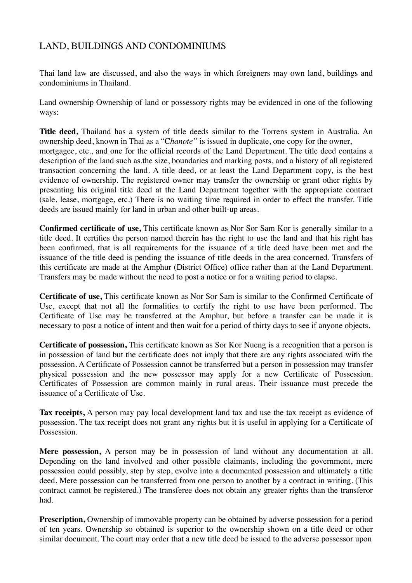## LAND, BUILDINGS AND CONDOMINIUMS

Thai land law are discussed, and also the ways in which foreigners may own land, buildings and condominiums in Thailand.

Land ownership Ownership of land or possessory rights may be evidenced in one of the following ways:

**Title deed,** Thailand has a system of title deeds similar to the Torrens system in Australia. An ownership deed, known in Thai as a "C*hanote"* is issued in duplicate, one copy for the owner, mortgagee, etc., and one for the official records of the Land Department. The title deed contains a description of the land such as.the size, boundaries and marking posts, and a history of all registered transaction concerning the land. A title deed, or at least the Land Department copy, is the best evidence of ownership. The registered owner may transfer the ownership or grant other rights by presenting his original title deed at the Land Department together with the appropriate contract (sale, lease, mortgage, etc.) There is no waiting time required in order to effect the transfer. Title deeds are issued mainly for land in urban and other built-up areas.

**Confirmed certificate of use,** This certificate known as Nor Sor Sam Kor is generally similar to a title deed. It certifies the person named therein has the right to use the land and that his right has been confirmed, that is all requirements for the issuance of a title deed have been met and the issuance of the title deed is pending the issuance of title deeds in the area concerned. Transfers of this certificate are made at the Amphur (District Office) office rather than at the Land Department. Transfers may be made without the need to post a notice or for a waiting period to elapse.

**Certificate of use,** This certificate known as Nor Sor Sam is similar to the Confirmed Certificate of Use, except that not all the formalities to certify the right to use have been performed. The Certificate of Use may be transferred at the Amphur, but before a transfer can be made it is necessary to post a notice of intent and then wait for a period of thirty days to see if anyone objects.

**Certificate of possession,** This certificate known as Sor Kor Nueng is a recognition that a person is in possession of land but the certificate does not imply that there are any rights associated with the possession. A Certificate of Possession cannot be transferred but a person in possession may transfer physical possession and the new possessor may apply for a new Certificate of Possession. Certificates of Possession are common mainly in rural areas. Their issuance must precede the issuance of a Certificate of Use.

**Tax receipts,** A person may pay local development land tax and use the tax receipt as evidence of possession. The tax receipt does not grant any rights but it is useful in applying for a Certificate of Possession.

**Mere possession,** A person may be in possession of land without any documentation at all. Depending on the land involved and other possible claimants, including the government, mere possession could possibly, step by step, evolve into a documented possession and ultimately a title deed. Mere possession can be transferred from one person to another by a contract in writing. (This contract cannot be registered.) The transferee does not obtain any greater rights than the transferor had.

**Prescription,** Ownership of immovable property can be obtained by adverse possession for a period of ten years. Ownership so obtained is superior to the ownership shown on a title deed or other similar document. The court may order that a new title deed be issued to the adverse possessor upon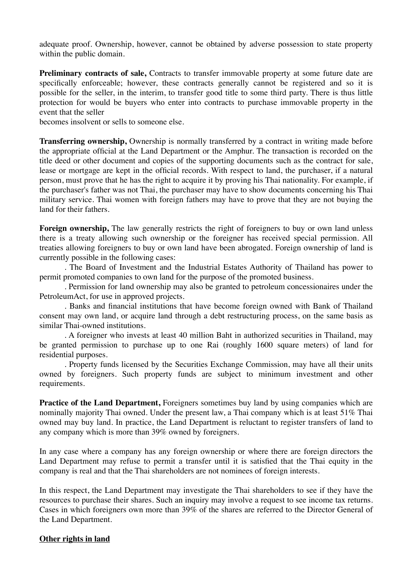adequate proof. Ownership, however, cannot be obtained by adverse possession to state property within the public domain.

**Preliminary contracts of sale,** Contracts to transfer immovable property at some future date are specifically enforceable; however, these contracts generally cannot be registered and so it is possible for the seller, in the interim, to transfer good title to some third party. There is thus little protection for would be buyers who enter into contracts to purchase immovable property in the event that the seller

becomes insolvent or sells to someone else.

**Transferring ownership,** Ownership is normally transferred by a contract in writing made before the appropriate official at the Land Department or the Amphur. The transaction is recorded on the title deed or other document and copies of the supporting documents such as the contract for sale, lease or mortgage are kept in the official records. With respect to land, the purchaser, if a natural person, must prove that he has the right to acquire it by proving his Thai nationality. For example, if the purchaser's father was not Thai, the purchaser may have to show documents concerning his Thai military service. Thai women with foreign fathers may have to prove that they are not buying the land for their fathers.

**Foreign ownership,** The law generally restricts the right of foreigners to buy or own land unless there is a treaty allowing such ownership or the foreigner has received special permission. All treaties allowing foreigners to buy or own land have been abrogated. Foreign ownership of land is currently possible in the following cases:

. The Board of Investment and the Industrial Estates Authority of Thailand has power to permit promoted companies to own land for the purpose of the promoted business.

. Permission for land ownership may also be granted to petroleum concessionaires under the PetroleumAct, for use in approved projects.

. Banks and financial institutions that have become foreign owned with Bank of Thailand consent may own land, or acquire land through a debt restructuring process, on the same basis as similar Thai-owned institutions.

. A foreigner who invests at least 40 million Baht in authorized securities in Thailand, may be granted permission to purchase up to one Rai (roughly 1600 square meters) of land for residential purposes.

. Property funds licensed by the Securities Exchange Commission, may have all their units owned by foreigners. Such property funds are subject to minimum investment and other requirements.

**Practice of the Land Department,** Foreigners sometimes buy land by using companies which are nominally majority Thai owned. Under the present law, a Thai company which is at least 51% Thai owned may buy land. In practice, the Land Department is reluctant to register transfers of land to any company which is more than 39% owned by foreigners.

In any case where a company has any foreign ownership or where there are foreign directors the Land Department may refuse to permit a transfer until it is satisfied that the Thai equity in the company is real and that the Thai shareholders are not nominees of foreign interests.

In this respect, the Land Department may investigate the Thai shareholders to see if they have the resources to purchase their shares. Such an inquiry may involve a request to see income tax returns. Cases in which foreigners own more than 39% of the shares are referred to the Director General of the Land Department.

## **Other rights in land**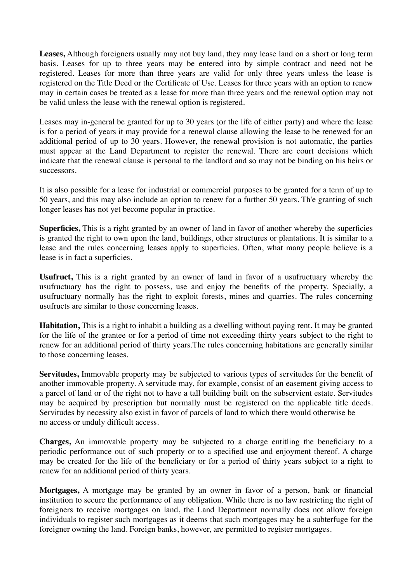**Leases,** Although foreigners usually may not buy land, they may lease land on a short or long term basis. Leases for up to three years may be entered into by simple contract and need not be registered. Leases for more than three years are valid for only three years unless the lease is registered on the Title Deed or the Certificate of Use. Leases for three years with an option to renew may in certain cases be treated as a lease for more than three years and the renewal option may not be valid unless the lease with the renewal option is registered.

Leases may in-general be granted for up to 30 years (or the life of either party) and where the lease is for a period of years it may provide for a renewal clause allowing the lease to be renewed for an additional period of up to 30 years. However, the renewal provision is not automatic, the parties must appear at the Land Department to register the renewal. There are court decisions which indicate that the renewal clause is personal to the landlord and so may not be binding on his heirs or successors.

It is also possible for a lease for industrial or commercial purposes to be granted for a term of up to 50 years, and this may also include an option to renew for a further 50 years. Th'e granting of such longer leases has not yet become popular in practice.

**Superficies,** This is a right granted by an owner of land in favor of another whereby the superficies is granted the right to own upon the land, buildings, other structures or plantations. It is similar to a lease and the rules concerning leases apply to superficies. Often, what many people believe is a lease is in fact a superficies.

**Usufruct,** This is a right granted by an owner of land in favor of a usufructuary whereby the usufructuary has the right to possess, use and enjoy the benefits of the property. Specially, a usufructuary normally has the right to exploit forests, mines and quarries. The rules concerning usufructs are similar to those concerning leases.

**Habitation,** This is a right to inhabit a building as a dwelling without paying rent. It may be granted for the life of the grantee or for a period of time not exceeding thirty years subject to the right to renew for an additional period of thirty years.The rules concerning habitations are generally similar to those concerning leases.

**Servitudes,** Immovable property may be subjected to various types of servitudes for the benefit of another immovable property. A servitude may, for example, consist of an easement giving access to a parcel of land or of the right not to have a tall building built on the subservient estate. Servitudes may be acquired by prescription but normally must be registered on the applicable title deeds. Servitudes by necessity also exist in favor of parcels of land to which there would otherwise be no access or unduly difficult access.

**Charges,** An immovable property may be subjected to a charge entitling the beneficiary to a periodic performance out of such property or to a specified use and enjoyment thereof. A charge may be created for the life of the beneficiary or for a period of thirty years subject to a right to renew for an additional period of thirty years.

**Mortgages,** A mortgage may be granted by an owner in favor of a person, bank or financial institution to secure the performance of any obligation. While there is no law restricting the right of foreigners to receive mortgages on land, the Land Department normally does not allow foreign individuals to register such mortgages as it deems that such mortgages may be a subterfuge for the foreigner owning the land. Foreign banks, however, are permitted to register mortgages.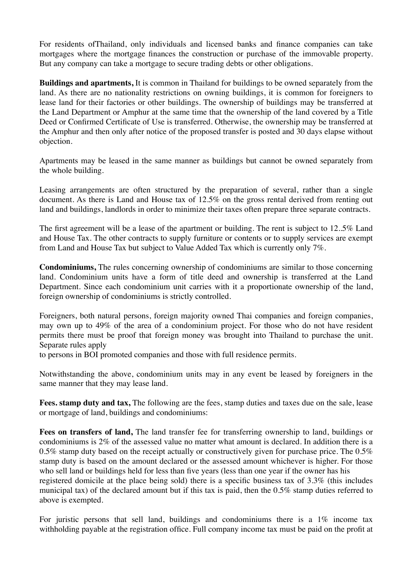For residents ofThailand, only individuals and licensed banks and finance companies can take mortgages where the mortgage finances the construction or purchase of the immovable property. But any company can take a mortgage to secure trading debts or other obligations.

**Buildings and apartments,** It is common in Thailand for buildings to be owned separately from the land. As there are no nationality restrictions on owning buildings, it is common for foreigners to lease land for their factories or other buildings. The ownership of buildings may be transferred at the Land Department or Amphur at the same time that the ownership of the land covered by a Title Deed or Confirmed Certificate of Use is transferred. Otherwise, the ownership may be transferred at the Amphur and then only after notice of the proposed transfer is posted and 30 days elapse without objection.

Apartments may be leased in the same manner as buildings but cannot be owned separately from the whole building.

Leasing arrangements are often structured by the preparation of several, rather than a single document. As there is Land and House tax of 12.5% on the gross rental derived from renting out land and buildings, landlords in order to minimize their taxes often prepare three separate contracts.

The first agreement will be a lease of the apartment or building. The rent is subject to 12..5% Land and House Tax. The other contracts to supply furniture or contents or to supply services are exempt from Land and House Tax but subject to Value Added Tax which is currently only 7%.

**Condominiums,** The rules concerning ownership of condominiums are similar to those concerning land. Condominium units have a form of title deed and ownership is transferred at the Land Department. Since each condominium unit carries with it a proportionate ownership of the land, foreign ownership of condominiums is strictly controlled.

Foreigners, both natural persons, foreign majority owned Thai companies and foreign companies, may own up to 49% of the area of a condominium project. For those who do not have resident permits there must be proof that foreign money was brought into Thailand to purchase the unit. Separate rules apply

to persons in BOI promoted companies and those with full residence permits.

Notwithstanding the above, condominium units may in any event be leased by foreigners in the same manner that they may lease land.

**Fees. stamp duty and tax,** The following are the fees, stamp duties and taxes due on the sale, lease or mortgage of land, buildings and condominiums:

**Fees on transfers of land,** The land transfer fee for transferring ownership to land, buildings or condominiums is 2% of the assessed value no matter what amount is declared. In addition there is a 0.5% stamp duty based on the receipt actually or constructively given for purchase price. The  $0.5\%$ stamp duty is based on the amount declared or the assessed amount whichever is higher. For those who sell land or buildings held for less than five years (less than one year if the owner has his

registered domicile at the place being sold) there is a specific business tax of 3.3% (this includes municipal tax) of the declared amount but if this tax is paid, then the 0.5% stamp duties referred to above is exempted.

For juristic persons that sell land, buildings and condominiums there is a 1% income tax withholding payable at the registration office. Full company income tax must be paid on the profit at